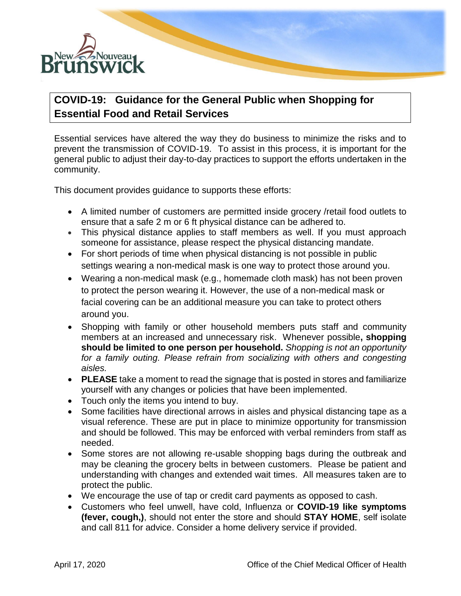

## **COVID-19: Guidance for the General Public when Shopping for Essential Food and Retail Services**

Essential services have altered the way they do business to minimize the risks and to prevent the transmission of COVID-19. To assist in this process, it is important for the general public to adjust their day-to-day practices to support the efforts undertaken in the community.

This document provides guidance to supports these efforts:

- A limited number of customers are permitted inside grocery /retail food outlets to ensure that a safe 2 m or 6 ft physical distance can be adhered to.
- This physical distance applies to staff members as well. If you must approach someone for assistance, please respect the physical distancing mandate.
- For short periods of time when physical distancing is not possible in public settings wearing a non-medical mask is one way to protect those around you.
- Wearing a non-medical mask (e.g., homemade cloth mask) has not been proven to protect the person wearing it. However, the use of a non-medical mask or facial covering can be an additional measure you can take to protect others around you.
- Shopping with family or other household members puts staff and community members at an increased and unnecessary risk. Whenever possible**, shopping should be limited to one person per household.** *Shopping is not an opportunity*  for a family outing. Please refrain from socializing with others and congesting *aisles.*
- **PLEASE** take a moment to read the signage that is posted in stores and familiarize yourself with any changes or policies that have been implemented.
- Touch only the items you intend to buy.
- Some facilities have directional arrows in aisles and physical distancing tape as a visual reference. These are put in place to minimize opportunity for transmission and should be followed. This may be enforced with verbal reminders from staff as needed.
- Some stores are not allowing re-usable shopping bags during the outbreak and may be cleaning the grocery belts in between customers. Please be patient and understanding with changes and extended wait times. All measures taken are to protect the public.
- We encourage the use of tap or credit card payments as opposed to cash.
- Customers who feel unwell, have cold, Influenza or **COVID-19 like symptoms (fever, cough,)**, should not enter the store and should **STAY HOME**, self isolate and call 811 for advice. Consider a home delivery service if provided.